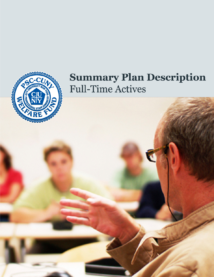

# **Summary Plan Description Full-Time Actives**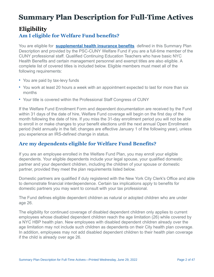# **Summary Plan Description for Full-Time Actives**

# **Eligibility Am I eligible for Welfare Fund benefits?**

You are eligible for **[supplemental health insurance benefits](http://www.psccunywf.org/full-time-actives/fund-benefits.aspx)** defined in this Summary Plan Description and provided by the PSC-CUNY Welfare Fund if you are a full-time member of the CUNY professional staff. Qualified Continuing Education Teachers who have basic NYC Health Benefits and certain management personnel and exempt titles are also eligible. A complete list of covered titles is included below. Eligible members must meet all of the following requirements:

- You are paid by tax-levy funds
- You work at least 20 hours a week with an appointment expected to last for more than six months
- Your title is covered within the Professional Staff Congress of CUNY

If the Welfare Fund Enrollment Form and dependent documentation are received by the Fund within 31 days of the date of hire, Welfare Fund coverage will begin on the first day of the month following the date of hire. If you miss the 31-day enrollment period you will not be able to enroll in or make changes to your benefit elections until the next annual Open Enrollment period (held annually in the fall; changes are effective January 1 of the following year), unless you experience an IRS-defined change in status.

### **Are my dependents eligible for Welfare Fund Benefits?**

If you are an employee enrolled in the Welfare Fund Plan, you may enroll your eligible dependents. Your eligible dependents include your legal spouse, your qualified domestic partner and your dependent children, including the children of your spouse or domestic partner, provided they meet the plan requirements listed below.

Domestic partners are qualified if duly registered with the New York City Clerk's Office and able to demonstrate financial interdependence. Certain tax implications apply to benefits for domestic partners you may want to consult with your tax professional.

The Fund defines eligible dependent children as natural or adopted children who are under age 26.

The eligibility for continued coverage of disabled dependent children only applies to current employees whose disabled dependent children reach the age limitation (26) while covered by a NYC HBP health plan. New employees with disabled dependent children already over the age limitation may not include such children as dependents on their City health plan coverage. In addition, employees may not add disabled dependent children to their health plan coverage if the child is already over age 26.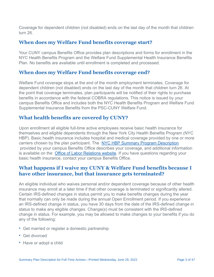Coverage for dependent children (not disabled) ends on the last day of the month that children turn 26.

#### **When does my Welfare Fund benefits coverage start?**

Your CUNY campus Benefits Office provides plan descriptions and forms for enrollment in the NYC Health Benefits Program and the Welfare Fund Supplemental Health Insurance Benefits Plan. No benefits are available until enrollment is completed and processed.

### **When does my Welfare Fund benefits coverage end?**

Welfare Fund coverage stops at the end of the month employment terminates. Coverage for dependent children (not disabled) ends on the last day of the month that children turn 26. At the point that coverage terminates, plan participants will be notified of their rights to purchase benefits in accordance with the federal COBRA regulations. This notice is issued by your campus Benefits Office and includes both the NYC Health Benefits Program and Welfare Fund Supplemental Insurance Benefits from the PSC-CUNY Welfare Fund.

### **What health benefits are covered by CUNY?**

Upon enrollment all eligible full-time active employees receive basic health insurance for themselves and eligible dependents through the New York City Health Benefits Program (NYC HBP). Basic health insurance includes hospital and medical coverage provided by one or more carriers chosen by the plan participant. The [NYC HBP Summary Program Description](https://www1.nyc.gov/assets/olr/downloads/pdf/health/health-full-spd.pdf) provided by your campus Benefits Office describes your coverage, and additional information is available on the **Office of Labor Relations website**. If you have questions regarding your basic health insurance, contact your campus Benefits Office.

### **What happens if I waive my CUNY & Welfare Fund benefits because I have other insurance, but that insurance gets terminated?**

An eligible individual who waives personal and/or dependent coverage because of other health insurance may enroll at a later time if that other coverage is terminated or significantly altered. Certain IRS-defined changes in status permit you to make benefits changes during the year that normally can only be made during the annual Open Enrollment period. If you experience an IRS-defined change in status, you have 30 days from the date of the IRS-defined change in status to make any eligible changes. Change(s) must be consistent with the IRS-defined change in status. For example, you may be allowed to make changes to your benefits if you do any of the following:

- Get married or register a domestic partnership
- Get divorced
- Have or adopt a child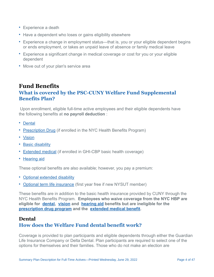- Experience a death
- Have a dependent who loses or gains eligibility elsewhere
- Experience a change in employment status—that is, you or your eligible dependent begins or ends employment, or takes an unpaid leave of absence or family medical leave
- Experience a significant change in medical coverage or cost for you or your eligible dependent
- Move out of your plan's service area

# **Fund Benefits What is covered by the PSC-CUNY Welfare Fund Supplemental Benefits Plan?**

 Upon enrollment, eligible full-time active employees and their eligible dependents have the following benefits at **no payroll deduction** :

- [Dental](/{localLink:1167})
- [Prescription Drug](/{localLink:1168}) (if enrolled in the NYC Health Benefits Program)
- [Vision](/{localLink:1169})
- [Basic disability](/{localLink:1170})
- [Extended medical](/{localLink:1171}) (if enrolled in GHI-CBP basic health coverage)
- [Hearing aid](/{localLink:1174})

These optional benefits are also available; however, you pay a premium:

- [Optional extended disability](/{localLink:1230})
- [Optional term life insurance](/{localLink:1231}) (first year free if new NYSUT member)

These benefits are in addition to the basic health insurance provided by CUNY through the NYC Health Benefits Program. **Employees who waive coverage from the NYC HBP are eligible for [dental,](/{localLink:1167}) [vision](/{localLink:1169}) and [hearing aid](/{localLink:1174}) benefits but are ineligible for the [prescription drug program](/{localLink:1168}) and the [extended medical benefit](/{localLink:1171}).** 

#### **Dental**

### **How does the Welfare Fund dental benefit work?**

Coverage is provided to plan participants and eligible dependents through either the Guardian Life Insurance Company or Delta Dental. Plan participants are required to select one of the options for themselves and their families. Those who do not make an election are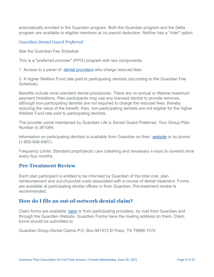automatically enrolled in the Guardian program. Both the Guardian program and the Delta program are available to eligible members at no payroll deduction. Neither has a "rider" option.

#### *Guardian Dental Guard Preferred*

See the Guardian Fee Schedule

This is a "preferred provider" (PPO) program with two components:

1. Access to a panel of [dental providers](https://www.guardiananytime.com/fpapp/FPWeb/home.process) who charge reduced fees

2. A higher Welfare Fund rate paid to participating dentists (according to the Guardian Fee Schedule)

Benefits include most standard dental procedures. There are no annual or lifetime maximum payment limitations. Plan participants may use any licensed dentist to provide services, although non-participating dentists are not required to charge the reduced fees, thereby reducing the value of the benefit. Also, non-participating dentists are not eligible for the higher Welfare Fund rate paid to participating dentists.

The provider panel maintained by Guardian Life is Dental Guard Preferred. Your Group Plan Number is 381084.

Information on participating dentists is available from Guardian on their [website](https://www.guardiananytime.com/gafd/wps/portal/fdhome) or by phone (1-800-848-4567).

Frequency Limits: Standard prophylactic care (cleaning and necessary x-rays) is covered once every four months.

#### **Pre-Treatment Review**

Each plan participant is entitled to be informed by Guardian of the total cost, plan reimbursement and out-of-pocket costs associated with a course of dental treatment. Forms are available at participating dentist offices or from Guardian. Pre-treatment review is recommended.

### **How do I file an out-of-network dental claim?**

Claim forms are available  [here](http://www.psccunywf.org/media/191275/guardian_dental_non-par_reimbusement_claim_form.5.15.18.pdf) or from participating providers, by mail from Guardian and through the Guardian Website. Guardian Forms have the mailing address on them. Claim forms should be submitted to:

Guardian Group Dental Claims P.O. Box 981572 El Paso, TX 79998-1572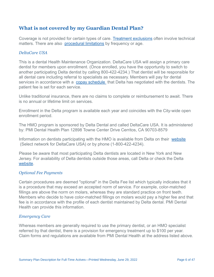### **What is not covered by my Guardian Dental Plan?**

Coverage is not provided for certain types of care. [Treatment exclusions](http://www.psccunywf.org/media/193278/guardian_benefit_exclusions.rev.7.1.2018.rev.pdf) often involve technical matters. There are also [procedural limitations](/media/242559/guardian_contract_limitations.pdf) by frequency or age.

#### *DeltaCare USA*

This is a dental Health Maintenance Organization. DeltaCare USA will assign a primary care dentist for members upon enrollment. (Once enrolled, you have the opportunity to switch to another participating Delta dentist by calling 800-422-4234.) That dentist will be responsible for all dental care including referral to specialists as necessary. Members will pay for dental services in accordance with a [copay schedule](http://www.psccunywf.org/media/20957/Delta_Dental_Copay_Schedule.pdf) that Delta has negotiated with the dentists. The patient fee is set for each service.

Unlike traditional insurance, there are no claims to complete or reimbursement to await. There is no annual or lifetime limit on services.

Enrollment in the Delta program is available each year and coincides with the City-wide open enrollment period.

The HMO program is sponsored by Delta Dental and called DeltaCare USA. It is administered by: PMI Dental Health Plan 12898 Towne Center Drive Cerritos, CA 90703-8579

Information on dentists participating with the HMO is available from Delta on their [website](https://www.deltadentalins.com/) (Select network for DeltaCare USA) or by phone (1-800-422-4234).

Please be aware that most participating Delta dentists are located in New York and New Jersey. For availability of Delta dentists outside those areas, call Delta or check the Delta [website.](https://www.deltadentalins.com/)

#### *Optional Fee Payments*

Certain procedures are deemed "optional" in the Delta Fee list which typically indicates that it is a procedure that may exceed an accepted norm of service. For example, color-matched fillings are above the norm on molars, whereas they are standard practice on front teeth. Members who decide to have color-matched fillings on molars would pay a higher fee and that fee is in accordance with the profile of each dentist maintained by Delta dental. PMI Dental Health can provide this information.

#### *Emergency Care*

Whereas members are generally required to use the primary dentist, or an HMO specialist referred by that dentist, there is a provision for emergency treatment up to \$100 per year. Claim forms and regulations are available from PMI Dental Health at the address listed above.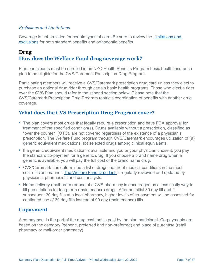#### *Exclusions and Limitations*

[Coverage is not provided for certain types of care. Be sure to review the](http://www.psccunywf.org/media/158054/dental_-_delta_exclusions_and_limitations.6.2017.pdf)  limitations and exclusions for both standard benefits and orthodontic benefits.

#### **Drug**

#### **How does the Welfare Fund drug coverage work?**

Plan participants must be enrolled in an NYC Health Benefits Program basic health insurance plan to be eligible for the CVS/Caremark Prescription Drug Program.

Participating members will receive a CVS/Caremark prescription drug card unless they elect to purchase an optional drug rider through certain basic health programs. Those who elect a rider over the CVS Plan should refer to the stipend section below. Please note that the CVS/Caremark Prescription Drug Program restricts coordination of benefits with another drug coverage.

#### **What does the CVS Prescription Drug Program cover?**

- The plan covers most drugs that legally require a prescription and have FDA approval for treatment of the specified condition(s). Drugs available without a prescription, classified as "over the counter" (OTC), are not covered regardless of the existence of a physician's prescription. The Welfare Fund program through CVS/Caremark encourages utilization of (a) generic equivalent medications, (b) selected drugs among clinical equivalents.
- If a generic equivalent medication is available and you or your physician chose it, you pay the standard co-payment for a generic drug. If you choose a brand name drug when a generic is available, you will pay the full cost of the brand name drug.
- CVS/Caremark has determined a list of drugs that treat medical conditions in the most cost-efficient manner. [The Welfare Fund Drug List i](/media/215627/psc-cuny_drug_list.april.2020.pdf)s regularly reviewed and updated by physicians, pharmacists and cost analysts.
- Home delivery (mail-order) or use of a CVS pharmacy is encouraged as a less costly way to fill prescriptions for long-term (maintenance) drugs. After an initial 30 day fill and 2 subsequent 30 day fills at a local pharmacy, higher levels of co-payment will be assessed for continued use of 30 day fills instead of 90 day (maintenance) fills.

#### **Copayment**

A co-payment is the part of the drug cost that is paid by the plan participant. Co-payments are based on the category (generic, preferred and non-preferred) and place of purchase (retail pharmacy or mail-order pharmacy).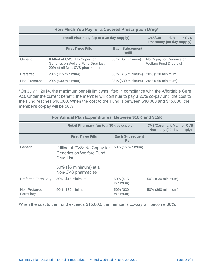#### **How Much You Pay for a Covered Prescription Drug\* Retail Pharmacy (up to a 30-day supply) CVS/Caremark Mail or CVS Pharmacy (90-day supply) First Three Fills Each Subsequent Refill** Generic **If filled at CVS** : No Copay for Generics on Welfare Fund Drug List **20% at all Non-CVS pharmacies** 35% (\$5 minimum) No Copay for Generics on Welfare Fund Drug List Preferred 20% (\$15 minimum) 35% (\$15 minimum) 20% (\$30 minimum) Non-Preferred 20% (\$30 minimum) 35% (\$30 minimum) 20% (\$60 minimum)

\*On July 1, 2014, the maximum benefit limit was lifted in compliance with the Affordable Care Act. Under the current benefit, the member will continue to pay a 20% co-pay until the cost to the Fund reaches \$10,000. When the cost to the Fund is between \$10,000 and \$15,000, the member's co-pay will be 50%.

| For Annual Plan Expenditures Between \$10K and \$15K |                                                                                                                                  |                                                             |                    |  |
|------------------------------------------------------|----------------------------------------------------------------------------------------------------------------------------------|-------------------------------------------------------------|--------------------|--|
|                                                      | Retail Pharmacy (up to a 30-day supply)                                                                                          | <b>CVS/Caremark Mail or CVS</b><br>Pharmacy (90-day supply) |                    |  |
|                                                      | <b>First Three Fills</b>                                                                                                         | <b>Each Subsequent</b><br>Refill                            |                    |  |
| Generic                                              | If filled at CVS: No Copay for<br><b>Generics on Welfare Fund</b><br>Drug List<br>50% (\$5 minimum) at all<br>Non-CVS pharmacies | 50% (\$5 minimum)                                           |                    |  |
| <b>Preferred Formulary</b>                           | 50% (\$15 minimum)                                                                                                               | 50% (\$15<br>minimum)                                       | 50% (\$30 minimum) |  |
| Non-Preferred<br>Formulary                           | 50% (\$30 minimum)                                                                                                               | 50% (\$30<br>minimum)                                       | 50% (\$60 minimum) |  |

When the cost to the Fund exceeds \$15,000, the member's co-pay will become 80%.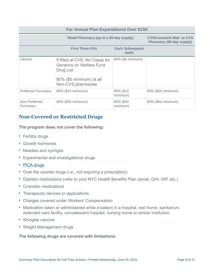#### **For Annual Plan Expenditures Over \$15K Retail Pharmacy (up to a 30-day supply) CVS/Caremark Mail or CVS Pharmacy (90-day supply) First Three Fills Each Subsequent Refill** Generic **If filled at CVS: No Copay for** Generics on Welfare Fund Drug List 80% (\$5 minimum) at all Non-CVS pharmacies 80% (\$5 minimum) Preferred Formulary 80% (\$15 minimum) 80% (\$15 minimum) 80% (\$30 minimum) Non-Preferred Formulary 80% (\$30 minimum) 80% (\$30 minimum) 80% (\$60 minimum)

# **Non-Covered or Restricted Drugs**

**The program does not cover the following:**

- Fertility drugs
- Growth hormones
- Needles and syringes
- Experimental and investigational drugs
- [PICA drugs](http://www1.nyc.gov/site/olr/health/summaryofplans/health-pica.page)
- Over the counter drugs (i.e., not requiring a prescription)
- Diabetic medications (refer to your NYC Health Benefits Plan carrier, GHI, HIP, etc.)
- Cosmetic medications
- Therapeutic devices or applications
- Charges covered under Workers' Compensation
- Medication taken or administered while a patient in a hospital, rest home, sanitarium, extended care facility, convalescent hospital, nursing home or similar institution.
- Shingles vaccine
- Weight Management drugs

#### **The following drugs are covered with limitations:**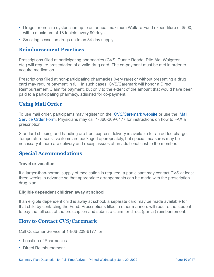- Drugs for erectile dysfunction up to an annual maximum Welfare Fund expenditure of \$500, with a maximum of 18 tablets every 90 days.
- Smoking cessation drugs up to an 84-day supply

### **Reimbursement Practices**

Prescriptions filled at participating pharmacies (CVS, Duane Reade, Rite Aid, Walgreen, etc.) will require presentation of a valid drug card. The co-payment must be met in order to acquire medication.

Prescriptions filled at non-participating pharmacies (very rare) or without presenting a drug card may require payment in full. In such cases, CVS/Caremark will honor a Direct Reimbursement Claim for payment, but only to the extent of the amount that would have been paid to a participating pharmacy, adjusted for co-payment.

### **Using Mail Order**

To use mail order, participants may register on the [CVS/Caremark website](https://www.caremark.com/wps/portal) or use the Mail [Service Order Form. Physicians may call 1-866-209-6177 for instructions on how to FAX a](https://www.caremark.com/portal/asset/mof_unauth.pdf) prescription.

Standard shipping and handling are free; express delivery is available for an added charge. Temperature-sensitive items are packaged appropriately, but special measures may be necessary if there are delivery and receipt issues at an additional cost to the member.

# **Special Accommodations**

#### **Travel or vacation**

If a larger-than-normal supply of medication is required, a participant may contact CVS at least three weeks in advance so that appropriate arrangements can be made with the prescription drug plan.

#### **Eligible dependent children away at school**

If an eligible dependent child is away at school, a separate card may be made available for that child by contacting the Fund. Prescriptions filled in other manners will require the student to pay the full cost of the prescription and submit a claim for direct (partial) reimbursement.

### **How to Contact CVS/Caremark**

Call Customer Service at 1-866-209-6177 for

- Location of Pharmacies
- Direct Reimbursement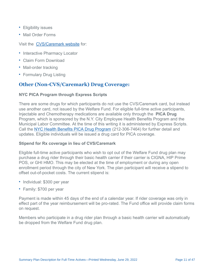- Eligibility issues
- Mail Order Forms

#### Visit the [CVS/Caremark website](https://www.caremark.com/wps/portal) for:

- Interactive Pharmacy Locator
- Claim Form Download
- Mail-order tracking
- Formulary Drug Listing

### **Other (Non-CVS/Caremark) Drug Coverage:**

#### **NYC PICA Program through Express Scripts**

There are some drugs for which participants do not use the CVS/Caremark card, but instead use another card, not issued by the Welfare Fund. For eligible full-time active participants, Injectable and Chemotherapy medications are available only through the **PICA Drug** Program, which is sponsored by the N.Y. City Employee Health Benefits Program and the Municipal Labor Committee. At the time of this writing it is administered by Express Scripts. Call the [NYC Health Benefits PICA Drug Program](http://www1.nyc.gov/site/olr/health/summaryofplans/health-pica.page) (212-306-7464) for further detail and updates. Eligible individuals will be issued a drug card for PICA coverage.

#### **Stipend for Rx coverage in lieu of CVS/Caremark**

Eligible full-time active participants who wish to opt out of the Welfare Fund drug plan may purchase a drug rider through their basic health carrier if their carrier is CIGNA, HIP Prime POS, or GHI HMO. This may be elected at the time of employment or during any open enrollment period through the city of New York. The plan participant will receive a stipend to offset out-of-pocket costs. The current stipend is:

- Individual: \$300 per year
- Family: \$700 per year

Payment is made within 45 days of the end of a calendar year. If rider coverage was only in effect part of the year reimbursement will be pro-rated. The Fund office will provide claim forms on request.

Members who participate in a drug rider plan through a basic health carrier will automatically be dropped from the Welfare Fund drug plan.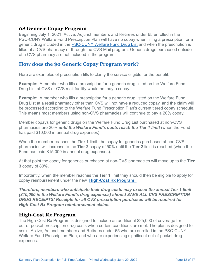#### **0\$ Generic Copay Program**

Beginning July 1, 2021, Active, Adjunct members and Retirees under 65 enrolled in the PSC-CUNY Welfare Fund Prescription Plan will have no copay when filling a prescription for a generic drug included in the [PSC-CUNY Welfare Fund Drug List](http://www.psccunywf.org/media/231608/welfare_fund_rx_drug_formulary.4.1.21.pdf) and when the prescription is filled at a CVS pharmacy or through the CVS Mail program. Generic drugs purchased outside of a CVS pharmacy are not included in the program.

#### **How does the \$0 Generic Copay Program work?**

Here are examples of prescription fills to clarify the service eligible for the benefit:

**Example:** A member who fills a prescription for a generic drug listed on the Welfare Fund Drug List at CVS or CVS mail facility would not pay a copay.

**Example:** A member who fills a prescription for a generic drug listed on the Welfare Fund Drug List at a retail pharmacy other than CVS will not have a reduced copay, and the claim will be processed according to the Welfare Fund Prescription Plan's current tiered copay schedule. This means most members using non-CVS pharmacies will continue to pay a 20% copay.

Member copays for generic drugs on the Welfare Fund Drug List purchased at non-CVS pharmacies are 20% *until the Welfare Fund's costs reach the Tier 1 limit* (when the Fund has paid \$10,000 in annual drug expenses).

When the member reaches the **Tier 1** limit, the copay for generics purchased at non-CVS pharmacies will increase to the **Tier 2** copay of 50% until the **Tier 2** limit is reached (when the Fund has paid \$15,000 in annual drug expenses).

At that point the copay for generics purchased at non-CVS pharmacies will move up to the **Tier 3** copay of 80%.

Importantly, when the member reaches the **Tier 1** limit they should then be eligible to apply for copay reimbursement under the new **[High-Cost Rx Program](http://www.psccunywf.org/full-time-actives/fund-benefits/high-cost-rx-program.aspx)** .

*Therefore, members who anticipate their drug costs may exceed the annual Tier 1 limit (\$10,000 in the Welfare Fund's drug expenses) should SAVE ALL CVS PRESCRIPTION DRUG RECEIPTS! Receipts for all CVS prescription purchases will be required for High-Cost Rx Program reimbursement claims.*

### **High-Cost Rx Program**

The High-Cost Rx Program is designed to include an additional \$25,000 of coverage for out-of-pocket prescription drug costs when certain conditions are met. The plan is designed to assist Active, Adjunct members and Retirees under 65 who are enrolled in the PSC-CUNY Welfare Fund Prescription Plan, and who are experiencing significant out-of-pocket drug expenses.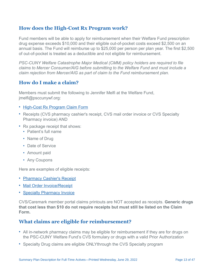### **How does the High-Cost Rx Program work?**

Fund members will be able to apply for reimbursement when their Welfare Fund prescription drug expense exceeds \$10,000 and their eligible out-of-pocket costs exceed \$2,500 on an annual basis. The Fund will reimburse up to \$25,000 per person per plan year. The first \$2,500 of out-of-pocket is treated as a deductible and not eligible for reimbursement.

*PSC-CUNY Welfare Catastrophe Major Medical (CMM) policy holders are required to file claims to Mercer Consumer/AIG before submitting to the Welfare Fund and must include a claim rejection from Mercer/AIG as part of claim to the Fund reimbursement plan.*

#### **How do I make a claim?**

Members must submit the following to Jennifer Melfi at the Welfare Fund, jmelfi@psccunywf.org:

- [High-Cost Rx Program Claim Form](/media/236308/2021_06_29_wf_high_cost_rx_reimbursement_form_page_1.pdf)
- Receipts (CVS pharmacy cashier's receipt, CVS mail order invoice or CVS Specialty Pharmacy invoice) AND
- Rx package receipt that shows:
	- Patient's full name
	- Name of Drug
	- Date of Service
	- Amount paid
	- Any Coupons

Here are examples of eligible receipts:

- [Pharmacy Cashier's Receipt](http://www.psccunywf.org/media/206347/high-cost_rx_plan_required_receipts.pdf)
- [Mail Order Invoice/Receipt](http://www.psccunywf.org/media/220020/invoice_sample_mail_order_25423.pdf)
- [Specialty Pharmacy Invoice](http://www.psccunywf.org/media/212704/cvs_specialty_invoice.pdf)

CVS/Caremark member portal claims printouts are NOT accepted as receipts. **Generic drugs that cost less than \$10 do not require receipts but must still be listed on the Claim Form.**

### **What claims are eligible for reimbursement?**

- All in-network pharmacy claims may be eligible for reimbursement if they are for drugs on the PSC-CUNY Welfare Fund's CVS formulary or drugs with a valid Prior Authorization
- Specialty Drug claims are eligible ONLYthrough the CVS Specialty program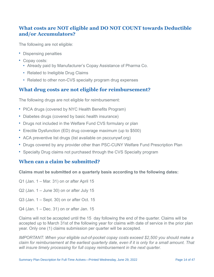### **What costs are NOT eligible and DO NOT COUNT towards Deductible and/or Accumulators?**

The following are not eligible:

- Dispensing penalties
- Copay costs:
	- Already paid by Manufacturer's Copay Assistance of Pharma Co.
	- Related to Ineligible Drug Claims
	- Related to other non-CVS specialty program drug expenses

### **What drug costs are not eligible for reimbursement?**

The following drugs are not eligible for reimbursement:

- PICA drugs (covered by NYC Health Benefits Program)
- Diabetes drugs (covered by basic health insurance)
- Drugs not included in the Welfare Fund CVS formulary or plan
- Erectile Dysfunction (ED) drug coverage maximum (up to \$500)
- ACA preventive list drugs (list available on psccunywf.org)
- Drugs covered by any provider other than PSC-CUNY Welfare Fund Prescription Plan
- Specialty Drug claims not purchased through the CVS Specialty program

### **When can a claim be submitted?**

#### **Claims must be submitted on a quarterly basis according to the following dates:**

- Q1 (Jan. 1 Mar. 31) on or after April 15
- $Q2$  (Jan. 1 June 30) on or after July 15
- Q3 (Jan. 1 Sept. 30) on or after Oct. 15
- Q4 (Jan. 1 Dec. 31) on or after Jan. 15

Claims will not be accepted until the 15 day following the end of the quarter. Claims will be accepted up to March 31st of the following year for claims with date of service in the prior plan year. Only one (1) claims submission per quarter will be accepted.

*IMPORTANT: When your eligible out-of-pocket copay costs exceed \$2,500 you should make a claim for reimbursement at the earliest quarterly date, even if it is only for a small amount. That will insure timely processing for full copay reimbursement in the next quarter.*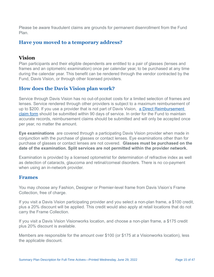Please be aware fraudulent claims are grounds for permanent disenrollment from the Fund Plan.

#### **Have you moved to a temporary address?**

#### **Vision**

Plan participants and their eligible dependents are entitled to a pair of glasses (lenses and frames and an optometric examination) once per calendar year, to be purchased at any time during the calendar year. This benefit can be rendered through the vendor contracted by the Fund, Davis Vision, or through other licensed providers.

#### **How does the Davis Vision plan work?**

Service through Davis Vision has no out-of-pocket costs for a limited selection of frames and lenses. Service rendered through other providers is subject to a maximum reimbursement of up to \$200. If you use a provider that is not part of Davis Vision, a Direct Reimbursement [claim form should be submitted within 90 days of service. In order for the Fund to maintain](http://www.psccunywf.org/media/133046/ret.out.of.state.reimbursement.pdf) accurate records, reimbursement claims should be submitted and will only be accepted once per year, no matter the amount.

**Eye examinations** are covered through a participating Davis Vision provider when made in conjunction with the purchase of glasses or contact lenses. Eye examinations other than for purchase of glasses or contact lenses are not covered. **Glasses must be purchased on the date of the examination. Split services are not permitted within the provider network.**

Examination is provided by a licensed optometrist for determination of refractive index as well as detection of cataracts, glaucoma and retinal/corneal disorders. There is no co-payment when using an in-network provider.

#### **Frames**

You may choose any Fashion, Designer or Premier-level frame from Davis Vision's Frame Collection, free of charge.

If you visit a Davis Vision participating provider and you select a non-plan frame, a \$100 credit, plus a 20% discount will be applied. This credit would also apply at retail locations that do not carry the Frame Collection.

If you visit a Davis Vision Visionworks location, and choose a non-plan frame, a \$175 credit plus 20% discount is available.

Members are responsible for the amount over \$100 (or \$175 at a Visionworks location), less the applicable discount.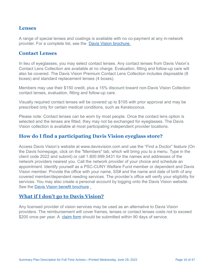#### **Lenses**

A range of special lenses and coatings is available with no co-payment at any in-network provider. For a complete list, see the [Davis Vision brochure.](/media/236470/davis_vision_brochure.7.1.21.pdf)

#### **Contact Lenses**

In lieu of eyeglasses, you may select contact lenses. Any contact lenses from Davis Vision's Contact Lens Collection are available at no charge. Evaluation, fitting and follow-up care will also be covered. The Davis Vision Premium Contact Lens Collection includes disposable (8 boxes) and standard replacement lenses (4 boxes).

Members may use their \$150 credit, plus a 15% discount toward non-Davis Vision Collection contact lenses, evaluation, fitting and follow-up care.

Visually required contact lenses will be covered up to \$105 with prior approval and may be prescribed only for certain medical conditions, such as Keratoconus.

Please note: Contact lenses can be worn by most people. Once the contact lens option is selected and the lenses are fitted, they may not be exchanged for eyeglasses. The Davis Vision collection is available at most participating independent provider locations.

### **How do I find a participating Davis Vision eyeglass store?**

Access Davis Vision's website at www.davisvision.com and use the "Find a Doctor" feature (On the Davis homepage, click on the "Members" tab, which will bring you to a menu. Type in the client code 2022 and submit) or call 1.800.999.5431 for the names and addresses of the network providers nearest you. Call the network provider of your choice and schedule an appointment. Identify yourself as a PSC-CUNY Welfare Fund member or dependent and Davis Vision member. Provide the office with your name, SS# and the name and date of birth of any covered member/dependent needing services. The provider's office will verify your eligibility for services. You may also create a personal account by logging onto the Davis Vision website. See the [Davis Vision benefit brochure](/media/236470/davis_vision_brochure.7.1.21.pdf) [.](/media/225026/davis_vision_brochure_10.28.20.pdf)

#### **[What if I don't go to Davis Vision?](/media/225026/davis_vision_brochure_10.28.20.pdf)**

Any licensed provider of vision services may be used as an alternative to Davis Vision providers. The reimbursement will cover frames, lenses or contact lenses costs not to exceed \$200 once per year. A [claim form](http://www.psccunywf.org/media/133046/ret.out.of.state.reimbursement.pdf) should be submitted within 90 days of service.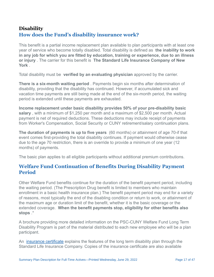# **Disability How does the Fund's disability insurance work?**

This benefit is a partial income replacement plan available to plan participants with at least one year of service who become totally disabled. Total disability is defined as **the inability to work in any job for which you are fitted by education, training or experience, due to an illness or injury** . The carrier for this benefit is **The Standard Life Insurance Company of New York** .

Total disability must be **verified by an evaluating physician** approved by the carrier.

**There is a six-month waiting period** . Payments begin six months after determination of disability, providing that the disability has continued. However, if accumulated sick and vacation time payments are still being made at the end of the six-month period, the waiting period is extended until these payments are exhausted.

**Income replacement under basic disability provides 50% of your pre-disability basic salary** , with a minimum of \$1,250 per month and a maximum of \$2,500 per month. Actual payment is net of required deductions. These deductions may include receipt of payments from Worker's Compensation, Social Security or CUNY retirement/salary continuation plans.

**The duration of payments is up to five years** (60 months) or attainment of age 70-if that event comes first-providing the total disability continues. If payment would otherwise cease due to the age 70 restriction, there is an override to provide a minimum of one year (12 months) of payments.

The basic plan applies to all eligible participants without additional premium contributions.

### **Welfare Fund Continuation of Benefits During Disability Payment Period**

Other Welfare Fund benefits continue for the duration of the benefit payment period, including the waiting period. (The Prescription Drug benefit is limited to members who maintain enrollment in a basic health insurance plan.) The benefit payment period may end for a variety of reasons, most typically the end of the disabling condition or return to work, or attainment of the maximum age or duration limit of the benefit, whether it is the basic coverage or the extended coverage. **When the benefit payments stop, eligibility for other benefits also stops** .\*

A brochure providing more detailed information on the PSC-CUNY Welfare Fund Long Term Disability Program is part of the material distributed to each new employee who will be a plan participant.

An [insurance certificate](http://www.psccunywf.org/media/20990/Extended_LTD_Certificate.pdf) explains the features of the long term disability plan through the Standard Life Insurance Company. Copies of the insurance certificate are also available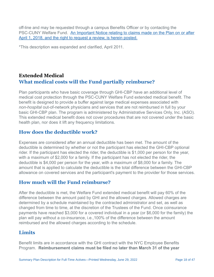off-line and may be requested through a campus Benefits Officer or by contacting the PSC-CUNY Welfare Fund. [An Important Notice relating to claims made on the Plan on or after](http://www.psccunywf.org/media/187194/ltd_claims_review_notice__re_denials_post_april_2018.pdf) April 1, 2018, and the right to request a review, is herein posted.

\*This description was expanded and clarified, April 2011.

### **Extended Medical What medical costs will the Fund partially reimburse?**

Plan participants who have basic coverage through GHI-CBP have an additional level of medical cost protection through the PSC-CUNY Welfare Fund extended medical benefit. The benefit is designed to provide a buffer against large medical expenses associated with *non-hospital* out-of-network physicians and services that are not reimbursed in full by your basic GHI-CBP plan. The program is administered by Administrative Services Only, Inc. (ASO). This extended medical benefit does not cover procedures that are not covered under the basic health plan, nor does it lift any frequency limitations.

### **How does the deductible work?**

Expenses are considered after an annual deductible has been met. The amount of the deductible is determined by whether or not the participant has elected the GHI-CBP optional rider. If the participant has elected the rider, the deductible is \$1,000 per person for the year, with a maximum of \$2,000 for a family. If the participant has not elected the rider, the deductible is \$4,000 per person for the year, with a maximum of \$8,000 for a family. The amount that is applied to calculate the deductible is the total difference between the GHI-CBP allowance on covered services and the participant's payment to the provider for those services.

### **How much will the Fund reimburse?**

After the deductible is met, the Welfare Fund extended medical benefit will pay 60% of the difference between the amount paid by GHI and the allowed charges. Allowed charges are determined by a schedule maintained by the contracted administrator and set, as well as changed from time to time, at the discretion of the Trustees of the Fund. Once coinsurance payments have reached \$3,000 for a covered individual in a year (or \$6,000 for the family) the plan will pay without a co-insurance, i.e.,100% of the difference between the amount reimbursed and the allowed charges according to the schedule.

### **Limits**

Benefit limits are in accordance with the GHI contract with the NYC Employee Benefits Program. **Reimbursement claims must be filed no later than March 31 of the year**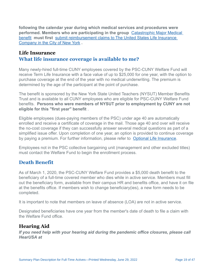**following the calendar year during which medical services and procedures were performed. Members who are participating in the group**  Catastrophic Major Medical benefit  **must first**  [submit reimbursement claims to The United States Life Insurance](http://www.psccunywf.org/full-time-actives/optional-benefits/catastrophic-major-medical.aspx)  Company in the City of New York **.** 

### **Life Insurance**

#### **What life insurance coverage is available to me?**

Many newly-hired full-time CUNY employees covered by the PSC-CUNY Welfare Fund will receive Term Life Insurance with a face value of up to \$25,000 for one year, with the option to purchase coverage at the end of the year with no medical underwriting. The premium is determined by the age of the participant at the point of purchase.

The benefit is sponsored by the New York State United Teachers (NYSUT) Member Benefits Trust and is available to all CUNY employees who are eligible for PSC-CUNY Welfare Fund benefits. **Persons who were members of NYSUT prior to employment by CUNY are not eligible for this "first year" benefit** .

Eligible employees (dues-paying members of the PSC) under age 40 are automatically enrolled and receive a certificate of coverage in the mail. Those age 40 and over will receive the no-cost coverage if they can successfully answer several medical questions as part of a simplified issue offer. Upon completion of one year, an option is provided to continue coverage by paying a premium. For further information, please refer to [Optional Life Insurance](http://www.psccunywf.org/full-time-actives/optional-benefits/life-insurance.aspx).

Employees not in the PSC collective bargaining unit (management and other excluded titles) must contact the Welfare Fund to begin the enrollment process.

### **Death Benefit**

As of March 1, 2020, the PSC-CUNY Welfare Fund provides a \$5,000 death benefit to the beneficiary of a full-time covered member who dies while in active service. Members must fill out the beneficiary form, available from their campus HR and benefits office, and have it on file at the benefits office. If members wish to change beneficiary(ies), a new form needs to be completed.

It is important to note that members on leave of absence (LOA) are not in active service.

Designated beneficiaries have one year from the member's date of death to file a claim with the Welfare Fund office.

### **Hearing Aid**

*If you need help with your hearing aid during the pandemic office closures, please call HearUSA at*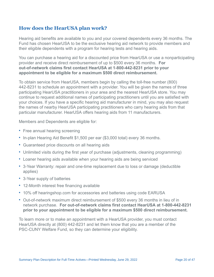### **How does the HearUSA plan work?**

Hearing aid benefits are available to you and your covered dependents every 36 months. The Fund has chosen HearUSA to be the exclusive hearing aid network to provide members and their eligible dependents with a program for hearing tests and hearing aids.

You can purchase a hearing aid for a discounted price from HearUSA or use a nonparticipating provider and receive direct reimbursement of up to \$500 every 36 months. **For out-of-network claims first contact HearUSA at 1-800-442-8231 prior to your appointment to be eligible for a maximum \$500 direct reimbursement.**

To obtain service from HearUSA, members begin by calling the toll-free number (800) 442-8231 to schedule an appointment with a provider. You will be given the names of three participating HearUSA practitioners in your area and the nearest HearUSA store. You may continue to request additional names of participating practitioners until you are satisfied with your choices. If you have a specific hearing aid manufacturer in mind, you may also request the names of nearby HearUSA participating practitioners who carry hearing aids from that particular manufacturer. HearUSA offers hearing aids from 11 manufacturers.

Members and Dependents are eligible for:

- Free annual hearing screening
- In-plan Hearing Aid Benefit \$1,500 per ear (\$3,000 total) every 36 months.
- Guaranteed price discounts on all hearing aids
- Unlimited visits during the first year of purchase (adjustments, cleaning programming)
- Loaner hearing aids available when your hearing aids are being serviced
- 3-Year Warranty: repair and one-time replacement due to loss or damage (deductible applies)
- 3-Year supply of batteries
- 12-Month interest free financing available
- 10% off hearingshop.com for accessories and batteries using code EARUSA
- Out-of-network maximum direct reimbursement of \$500 every 36 months in lieu of in network purchase. **For out-of-network claims first contact HearUSA at 1-800-442-8231 prior to your appointment to be eligible for a maximum \$500 direct reimbursement.**

To learn more or to make an appointment with a HearUSA provider, you must contact HearUSA directly at (800) 442-8231 and let them know that you are a member of the PSC-CUNY Welfare Fund, so they can determine your eligibility.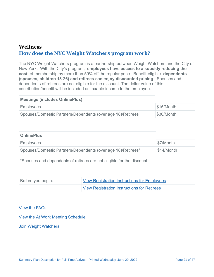### **Wellness How does the NYC Weight Watchers program work?**

The NYC Weight Watchers program is a partnership between Weight Watchers and the City of New York. With the City's program, **employees have access to a subsidy reducing the cost** of membership by more than 50% off the regular price. Benefit-eligible **dependents (spouses, children 18-26) and retirees can enjoy discounted pricing** . Spouses and dependents of retirees are not eligible for the discount. The dollar value of this contribution/benefit will be included as taxable income to the employee.

| <b>Meetings (includes OnlinePlus)</b>                       |                        |
|-------------------------------------------------------------|------------------------|
| <b>Employees</b>                                            | $\frac{1}{3}$ 15/Month |
| Spouses/Domestic Partners/Dependents (over age 18)/Retirees | \$30/Month             |

| <b>OnlinePlus</b>                                            |            |
|--------------------------------------------------------------|------------|
| <b>Employees</b>                                             | \$7/Month  |
| Spouses/Domestic Partners/Dependents (over age 18)/Retirees* | \$14/Month |

\*Spouses and dependents of retirees are not eligible for the discount.

| Before you begin: | <b>View Registration Instructions for Employees</b> |
|-------------------|-----------------------------------------------------|
|                   | <b>View Registration Instructions for Retirees</b>  |

[View the FAQs](http://www1.nyc.gov/assets/olr/downloads/pdf/wellness/weightwatchers/city-of-ny-faqs.pdf)

[View the At Work Meeting Schedule](http://www1.nyc.gov/assets/olr/downloads/pdf/wellness/weightwatchers/ww-at-work-meeting-schedule.pdf)

[Join Weight Watchers](http://nyc.join.weightwatchers.com/)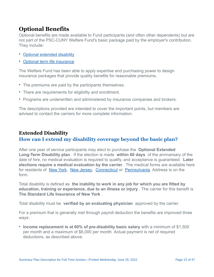# **Optional Benefits**

Optional benefits are made available to Fund participants (and often other dependents) but are not part of the PSC-CUNY Welfare Fund's basic package paid by the employer's contribution. They include:

- [Optional extended disability](http://www.psccunywf.org/full-time-actives/optional-benefits/extended-disability.aspx)
- [Optional term life insurance](http://www.psccunywf.org/full-time-actives/optional-benefits/life-insurance.aspx)

The Welfare Fund has been able to apply expertise and purchasing power to design insurance packages that provide quality benefits for reasonable premiums.

- The premiums are paid by the participants themselves.
- There are requirements for eligibility and enrollment.
- Programs are underwritten and administered by insurance companies and brokers.

The descriptions provided are intended to cover the important points, but members are advised to contact the carriers for more complete information.

# **Extended Disability How can I extend my disability coverage beyond the basic plan?**

After one year of service participants may elect to purchase the **Optional Extended Long-Term Disability plan** . If the election is made **within 60 days** of the anniversary of the date of hire, no medical evaluation is required to qualify, and acceptance is guaranteed. **Later elections require a medical evaluation by the carrier** . The medical forms are available here for residents of [New York,](http://www.psccunywf.org/media/20999/Medical_History.pdf) [New Jersey,](http://www.psccunywf.org/media/21005/Medical_History_IL_NH_NJ.pdf) [Connecticut](http://www.psccunywf.org/media/21002/Medical_History_CT.pdf) or [Pennsylvania](http://www.psccunywf.org/media/21008/Medical_History_Non-NY.pdf). Address is on the form.

Total disability is defined as **the inability to work in any job for which you are fitted by education, training or experience, due to an illness or injury** . The carrier for this benefit is **The Standard Life Insurance of New York** .

Total disability must be **verified by an evaluating physician** approved by the carrier.

For a premium that is generally met through payroll deduction the benefits are improved three ways:

• **Income replacement is at 60% of pre-disability basic salary** with a minimum of \$1,500 per month and a maximum of \$6,000 per month. Actual payment is net of required deductions, as described above.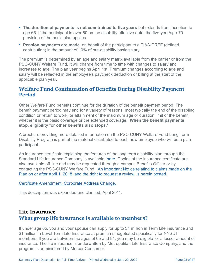- **The duration of payments is not constrained to five years** but extends from inception to age 65. If the participant is over 60 on the disability effective date, the five-year/age-70 provision of the basic plan applies.
- **Pension payments are made** on behalf of the participant to a TIAA-CREF (defined contribution) in the amount of 10% of pre-disability basic salary.

The premium is determined by an age and salary matrix available from the carrier or from the PSC-CUNY Welfare Fund. It will change from time to time with changes to salary and increases to age. The plan year begins April 1st. Premium changes according to age and salary will be reflected in the employee's paycheck deduction or billing at the start of the applicable plan year.

### **Welfare Fund Continuation of Benefits During Disability Payment Period**

Other Welfare Fund benefits continue for the duration of the benefit payment period. The benefit payment period may end for a variety of reasons, most typically the end of the disabling condition or return to work, or attainment of the maximum age or duration limit of the benefit, whether it is the basic coverage or the extended coverage. **When the benefit payments stop, eligibility for other benefits also stops.\***

A brochure providing more detailed information on the PSC-CUNY Welfare Fund Long Term Disability Program is part of the material distributed to each new employee who will be a plan participant.

An insurance certificate explaining the features of the long term disability plan through the Standard Life Insurance Company is available [here](http://www.psccunywf.org/media/20990/Extended_LTD_Certificate.pdf). Copies of the insurance certificate are also available off-line and may be requested through a campus Benefits Officer or by contacting the PSC-CUNY Welfare Fund. An Important Notice relating to claims made on the [Plan on or after April 1, 2018, and the right to request a review, is herein posted.](http://www.psccunywf.org/media/187194/ltd_claims_review_notice__re_denials_post_april_2018.pdf)

#### [Certificate Amendment: Corporate Address Change.](http://www.psccunywf.org/media/191512/cuny_-_address_change_certificate_notice.pdf)

This description was expanded and clarified, April 2011.

# **Life Insurance What group life insurance is available to members?**

If under age 65, you and your spouse can apply for up to \$1 million in Term Life insurance and \$1 million in Level Term Life Insurance at premiums negotiated specifically for NYSUT members. If you are between the ages of 65 and 84, you may be eligible for a lesser amount of insurance. The life insurance is underwritten by Metropolitan Life Insurance Company, and the program is administered by Mercer Consumer.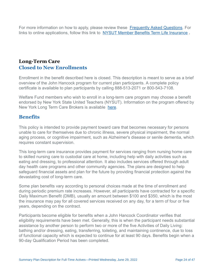For more information on how to apply, please review these [Frequently Asked Questions.](http://www.psccunywf.org/media/188857/pscwf_faqs_-_psc_access_local.rev.pdf) For links to online applications, follow this link to [NYSUT Member Benefits Term Life Insurance](https://memberbenefits.nysut.org/program-service/insurance/term-life-insurance) **.**

### **Long-Term Care Closed to New Enrollments**

Enrollment in the benefit described here is closed. This description is meant to serve as a brief overview of the John Hancock program for current plan participants. A complete policy certificate is available to plan participants by calling 888-513-2071 or 800-543-7108.

Welfare Fund members who wish to enroll in a long-term care program may choose a benefit endorsed by New York State United Teachers (NYSUT). Information on the program offered by New York Long Term Care Brokers is available [here](http://memberbenefits.nysut.org/program-service/insurance/long-term-care).

### **Benefits**

This policy is intended to provide payment toward care that becomes necessary for persons unable to care for themselves due to chronic illness, severe physical impairment, the normal aging process, or cognitive impairment, such as Alzheimer's disease or senile dementia, which requires constant supervision.

This long-term care insurance provides payment for services ranging from nursing home care to skilled nursing care to custodial care at home, including help with daily activities such as eating and dressing, to professional attention. It also includes services offered through adult day health care programs and other community agencies. The plans are designed to help safeguard financial assets and plan for the future by providing financial protection against the devastating cost of long-term care.

Some plan benefits vary according to personal choices made at the time of enrollment and during periodic premium rate increases. However, all participants have contracted for a specific Daily Maximum Benefit (DMB), usually an amount between \$100 and \$350, which is the most the insurance may pay for all covered services received on any day, for a term of four or five years, depending on the contract.

Participants become eligible for benefits when a John Hancock Coordinator verifies that eligibility requirements have been met. Generally, this is when the participant needs substantial assistance by another person to perform two or more of the five Activities of Daily Living: bathing and/or dressing, eating, transferring, toileting, and maintaining continence, due to loss of functional capacity which is expected to continue for at least 90 days. Benefits begin when a 90-day Qualification Period has been completed.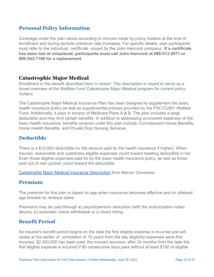### **Personal Policy Information**

Coverage under the plan varies according to choices made by policy holders at the time of enrollment and during periodic premium rate increases. For specific details, plan participants must refer to the individual *certificate* issued by the John Hancock company. **If a certificate has been lost or misplaced, participants must call John Hancock at 888-513-2071 or 800-543-7108 for a replacement.**

#### **Catastrophic Major Medical**

*Enrollment in the benefit described here is closed. This description is meant to serve as a broad overview of the Welfare Fund Catastrophe Major Medical program for current policy holders.*

The Catastrophe Major Medical Insurance Plan has been designed to supplement the basic health insurance policy as well as supplemental policies provided by the PSC-CUNY Welfare Fund. Additionally, it pays in excess of Medicare Parts A & B. The plan includes a large deductible and may limit certain benefits. In addition to addressing uncovered expenses of the basic health insurance, benefits covered under this plan include: Convalescent Home Benefits, Home Health Benefits, and Private Duty Nursing Services.

### **Deductible**

There is a \$10,000 deductible (or the amount paid by the health insurance if higher). When insured, reasonable and customary eligible expenses count toward meeting deductible in full. Even those eligible expenses paid for by the basic health insurance policy, as well as those paid out of own pocket, count toward the deductible.

**[Catastrophe Major Medical Insurance Description](http://www.psccunywf.org/media/169366/cmm_policy_description.pdf)** from Mercer Consumer

### **Premium**

The premium for this plan is based on age when insurance becomes effective and on attained age bracket on renewal dates.

Premiums may be paid through a) payroll/pension deduction (with the authorization noted above), b) automatic check withdrawal or c) direct billing.

#### **Benefit Period**

An insured's benefit period begins on the date the first eligible expense is incurred and will cease at the earlier of: completion of 10 years from the day eligibility expenses were first incurred; \$2,000,000 has been paid; the insured recovers; after 24 months from the date the first eligible expense is incurred if 90 consecutive days pass without at least \$150 of eligible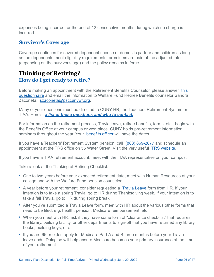expenses being incurred; or the end of 12 consecutive months during which no charge is incurred.

#### **Survivor's Coverage**

Coverage continues for covered dependent spouse or domestic partner and children as long as the dependents meet eligibility requirements, premiums are paid at the adjusted rate (depending on the survivor's age) and the policy remains in force.

# **Thinking of Retiring? How do I get ready to retire?**

Before making an appointment with the Retirement Benefits Counselor, please answer this [questionnaire and email the information to Welfare Fund Retiree Benefits counselor Sandra](http://www.psccunywf.org/media/189094/pre-retirement_first_questions_form.pdf) Zaconeta, [szaconeta@psccunywf.org.](mailto:szaconeta@psccunywf.org)

Many of your questions must be directed to CUNY HR, the Teachers Retirement System or TIAA. Here's *[a list of those questions and who to contact.](http://www.psccunywf.org/pre-retirement-questions-for-campus-hr,-trs,-tiaa.aspx)*

For information on the retirement process, Travia leave, retiree benefits, forms, etc., begin with the Benefits Office at your campus or workplace. CUNY holds pre-retirement information seminars throughout the year. Your [benefits officer](http://www.psccunywf.org/contacts/college-benefits-officers.aspx) will have the dates.

If you have a Teachers' Retirement System pension, call [\(888\) 869-2877](https://www.google.com/search?q=trs+nyc&rlz=1C1OPRB_enUS549US556&oq=trs+nyc&aqs=chrome..69i57j0l5.5063j0j8&sourceid=chrome&ie=UTF-8) and schedule an appointment at the TRS office on 55 Water Street. Visit the very useful [TRS website](https://trsnyc.org/memberportal/login).

If you have a TIAA retirement account, meet with the TIAA representative on your campus.

Take a look at the Thinking of Retiring Checklist:

- One to two years before your expected retirement date, meet with Human Resources at your college and with the Welfare Fund pension counselor.
- A year before your retirement, consider requesting a [Travia Leave](/media/247129/travia_leave-psc_06-22.pdf) form from HR. If your intention is to take a spring Travia, go to HR during Thanksgiving week. If your intention is to take a fall Travia, go to HR during spring break.
- After you've submitted a Travia Leave form, meet with HR about the various other forms that need to be filed, e.g. health, pension, Medicare reimbursement, etc.
- When you meet with HR, ask if they have some form of "clearance check-list" that requires the library, building facility, or other departments to sign-off that you have returned any library books, building keys, etc.
- If you are 65 or older, apply for Medicare Part A and B three months before your Travia leave ends. Doing so will help ensure Medicare becomes your primary insurance at the time of your retirement.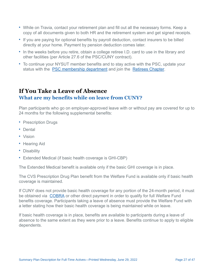- While on Travia, contact your retirement plan and fill out all the necessary forms. Keep a copy of all documents given to both HR and the retirement system and get signed receipts.
- If you are paying for optional benefits by payroll deduction, contact insurers to be billed directly at your home. Payment by pension deduction comes later.
- In the weeks before you retire, obtain a college retiree I.D. card to use in the library and other facilities (per Article 27.6 of the PSC/CUNY contract).
- To continue your NYSUT member benefits and to stay active with the PSC, update your status with the **PSC** membership department and join the [Retirees Chapter](http://www.psc-cuny.org/about-us/retirees).

# **If You Take a Leave of Absence What are my benefits while on leave from CUNY?**

Plan participants who go on employer-approved leave with or without pay are covered for up to 24 months for the following supplemental benefits:

- Prescription Drugs
- Dental
- Vision
- Hearing Aid
- Disability
- Extended Medical (if basic health coverage is GHI-CBP)

The Extended Medical benefit is available only if the basic GHI coverage is in place.

The CVS Prescription Drug Plan benefit from the Welfare Fund is available only if basic health coverage is maintained.

If CUNY does not provide basic health coverage for any portion of the 24-month period, it must be obtained via [COBRA](http://www.psccunywf.org/full-time-actives/cobra.aspx) or other direct payment in order to qualify for full Welfare Fund benefits coverage. Participants taking a leave of absence must provide the Welfare Fund with a letter stating how their basic health coverage is being maintained while on leave.

If basic health coverage is in place, benefits are available to participants during a leave of absence to the same extent as they were prior to a leave. Benefits continue to apply to eligible dependents.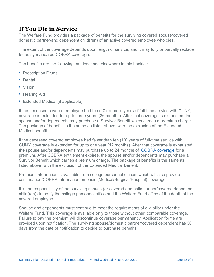# **If You Die in Service**

The Welfare Fund provides a package of benefits for the surviving covered spouse/covered domestic partner/and dependent child(ren) of an active covered employee who dies.

The extent of the coverage depends upon length of service, and it may fully or partially replace federally mandated COBRA coverage.

The benefits are the following, as described elsewhere in this booklet:

- Prescription Drugs
- Dental
- Vision
- Hearing Aid
- Extended Medical (if applicable)

If the deceased covered employee had ten (10) or more years of full-time service with CUNY, coverage is extended for up to three years (36 months). After that coverage is exhausted, the spouse and/or dependents may purchase a Survivor Benefit which carries a premium charge. The package of benefits is the same as listed above, with the exclusion of the Extended Medical benefit.

If the deceased covered employee had fewer than ten (10) years of full-time service with CUNY, coverage is extended for up to one year (12 months). After that coverage is exhausted, the spouse and/or dependents may purchase up to 24 months of [COBRA coverage](http://www.psccunywf.org/full-time-actives/cobra.aspx) for a premium. After COBRA entitlement expires, the spouse and/or dependents may purchase a Survivor Benefit which carries a premium charge. The package of benefits is the same as listed above, with the exclusion of the Extended Medical Benefit.

Premium information is available from college personnel offices, which will also provide continuation/COBRA information on basic (Medical/Surgical/Hospital) coverage.

It is the responsibility of the surviving spouse (or covered domestic partner/covered dependent child(ren)) to notify the college personnel office and the Welfare Fund office of the death of the covered employee.

Spouse and dependents must continue to meet the requirements of eligibility under the Welfare Fund. This coverage is available only to those without other, comparable coverage. Failure to pay the premium will discontinue coverage permanently. Application forms are provided upon notification. The surviving spouse/domestic partner/covered dependent has 30 days from the date of notification to decide to purchase benefits.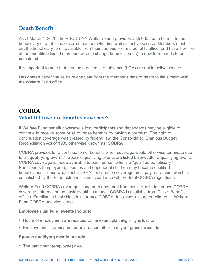### **Death Benefit**

As of March 1, 2020, the PSC-CUNY Welfare Fund provides a \$5,000 death benefit to the beneficiary of a full-time covered member who dies while in active service. Members must fill out the beneficiary form, available from their campus HR and benefits office, and have it on file at the benefits office. If members wish to change beneficiary(ies), a new form needs to be completed.

It is important to note that members on leave of absence (LOA) are not in active service.

Designated beneficiaries have one year from the member's date of death to file a claim with the Welfare Fund office.

# **COBRA What if I lose my benefits coverage?**

If Welfare Fund benefit coverage is lost, participants and dependents may be eligible to continue to receive some or all of those benefits by paying a premium. The right to continuation coverage was created by federal law, the Consolidated Omnibus Budget Reconciliation Act of 1985 otherwise known as **COBRA** .

COBRA provides for a continuation of benefits when coverage would otherwise terminate due to a " **qualifying event** ." Specific qualifying events are listed below. After a qualifying event, COBRA coverage is made available to each person who is a "qualified beneficiary." Participants (employees), spouses and dependent children may become qualified beneficiaries. Those who elect COBRA continuation coverage must pay a premium which is established by the Fund actuaries is in accordance with Federal COBRA regulations.

Welfare Fund COBRA coverage is separate and apart from basic Health Insurance COBRA coverage. Information on basic Health insurance COBRA is available from CUNY Benefits offices. Enrolling in basic Health insurance COBRA does **not** assure enrollment in Welfare Fund COBRA and vice versa.

#### **Employee qualifying events include:**

- Hours of employment are reduced to the extent plan eligibility is lost, or
- Employment is terminated for any reason other than your gross misconduct.

#### **Spouse qualifying events include:**

• The participant (employee) dies,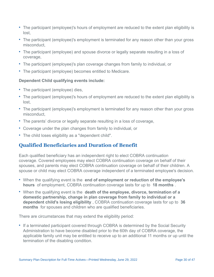- The participant (employee)'s hours of employment are reduced to the extent plan eligibility is lost,
- The participant (employee)'s employment is terminated for any reason other than your gross misconduct,
- The participant (employee) and spouse divorce or legally separate resulting in a loss of coverage,
- The participant (employee)'s plan coverage changes from family to individual, or
- The participant (employee) becomes entitled to Medicare.

#### **Dependent Child qualifying events include:**

- The participant (employee) dies,
- The participant (employee)'s hours of employment are reduced to the extent plan eligibility is lost,
- The participant (employee)'s employment is terminated for any reason other than your gross misconduct,
- The parents' divorce or legally separate resulting in a loss of coverage,
- Coverage under the plan changes from family to individual, or
- The child loses eligibility as a "dependent child".

### **Qualified Beneficiaries and Duration of Benefit**

Each qualified beneficiary has an independent right to elect COBRA continuation coverage. Covered employees may elect COBRA continuation coverage on behalf of their spouses, and parents may elect COBRA continuation coverage on behalf of their children. A spouse or child may elect COBRA coverage independent of a terminated employee's decision.

- When the qualifying event is the **end of employment or reduction of the employee's hours** of employment, COBRA continuation coverage lasts for up to **18 months** .
- When the qualifying event is the **death of the employee, divorce, termination of a domestic partnership, change in plan coverage from family to individual or a dependent child's losing eligibility** , COBRA continuation coverage lasts for up to **36 months** for spouses and children who are qualified beneficiaries.

There are circumstances that may extend the eligibility period:

• If a terminated participant covered through COBRA is determined by the Social Security Administration to have become disabled prior to the 60th day of COBRA coverage, the applicable family unit may be entitled to receive up to an additional 11 months or up until the termination of the disabling condition.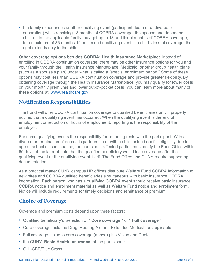• If a family experiences another qualifying event (participant death or a divorce or separation) while receiving 18 months of COBRA coverage, the spouse and dependent children in the applicable family may get up to 18 additional months of COBRA coverage, to a maximum of 36 months. If the second qualifying event is a child's loss of coverage, the right extends only to the child.

**Other coverage options besides COBRA: Health Insurance Marketplace** Instead of enrolling in COBRA continuation coverage, there may be other insurance options for you and your family through the Health Insurance Marketplace, Medicaid, or other group health plans (such as a spouse's plan) under what is called a "special enrollment period." Some of these options may cost less than COBRA continuation coverage and provide greater flexibility. By obtaining coverage through the Health Insurance Marketplace, you may qualify for lower costs on your monthly premiums and lower out-of-pocket costs. You can learn more about many of these options at [www.healthcare.gov.](http://www.healthcare.gov/)

### **Notification Responsibilities**

The Fund will offer COBRA continuation coverage to qualified beneficiaries only if properly notified that a qualifying event has occurred. When the qualifying event is the end of employment or reduction of hours of employment, reporting is the responsibility of the employer.

For some qualifying events the responsibility for reporting rests with the participant. With a divorce or termination of domestic partnership or with a child losing benefits eligibility due to age or school discontinuance, the participant affected parties must notify the Fund Office within 60 days of the later of date that the qualified beneficiary would lose coverage after the qualifying event or the qualifying event itself. The Fund Office and CUNY require supporting documentation.

As a practical matter CUNY campus HR offices distribute Welfare Fund COBRA information to new hires and COBRA qualified beneficiaries simultaneous with basic insurance COBRA information. Each person who has a qualifying COBRA event should receive basic insurance COBRA notice and enrollment material as well as Welfare Fund notice and enrollment form. Notice will include requirements for timely decisions and remittance of premium.

### **Choice of Coverage**

Coverage and premium costs depend upon three factors:

- Qualified beneficiary's selection of " **Core coverage** " or " **Full coverage** "
- Core coverage includes Drug, Hearing Aid and Extended Medical (as applicable)
- Full coverage includes core coverage (above) plus Vision and Dental
- the CUNY **Basic Health Insurance** of the participant:
- GHI-CBP/Blue Cross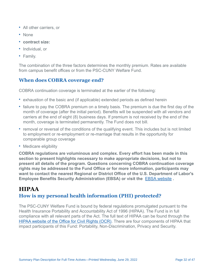- All other carriers, or
- None
- **contract size:**
- Individual, or
- Family.

The combination of the three factors determines the monthly premium. Rates are available from campus benefit offices or from the PSC-CUNY Welfare Fund.

### **When does COBRA coverage end?**

COBRA continuation coverage is terminated at the earlier of the following:

- exhaustion of the basic and (if applicable) extended periods as defined herein
- failure to pay the COBRA premium on a timely basis. The premium is due the first day of the month of coverage (after the initial period). Benefits will be suspended with all vendors and carriers at the end of eight (8) business days. If premium is not received by the end of the month, coverage is terminated permanently. The Fund does not bill.
- removal or reversal of the conditions of the qualifying event. This includes but is not limited to employment or re-employment or re-marriage that results in the opportunity for comparable group coverage
- Medicare eligibility

**COBRA regulations are voluminous and complex. Every effort has been made in this section to present highlights necessary to make appropriate decisions, but not to present all details of the program. Questions concerning COBRA continuation coverage rights may be addressed to the Fund Office or for more information, participants may want to contact the nearest Regional or District Office of the U.S. Department of Labor's Employee Benefits Security Administration (EBSA) or visit the**  [EBSA website](http://www.dol.gov/ebsa/) **.**

# **HIPAA How is my personal health information (PHI) protected?**

The PSC-CUNY Welfare Fund is bound by federal regulations promulgated pursuant to the Health Insurance Portability and Accountability Act of 1996 (HIPAA). The Fund is in full compliance with all relevant parts of the Act. The full text of HIPAA can be found through the [HIPAA website of the Office for Civil Rights \(OCR\).](http://www.hhs.gov/ocr/hipaa) There are four components of HIPAA that impact participants of this Fund: Portability, Non-Discrimination, Privacy and Security.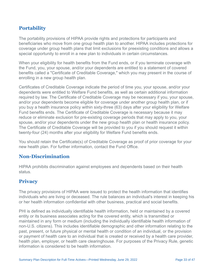### **Portability**

The portability provisions of HIPAA provide rights and protections for participants and beneficiaries who move from one group health plan to another. HIPAA includes protections for coverage under group health plans that limit exclusions for preexisting conditions and allows a special opportunity to enroll in a new plan to individuals in certain circumstances.

When your eligibility for health benefits from the Fund ends, or if you terminate coverage with the Fund, you, your spouse, and/or your dependents are entitled to a statement of covered benefits called a "Certificate of Creditable Coverage," which you may present in the course of enrolling in a new group health plan.

Certificates of Creditable Coverage indicate the period of time you, your spouse, and/or your dependents were entitled to Welfare Fund benefits, as well as certain additional information required by law. The Certificate of Creditable Coverage may be necessary if you, your spouse, and/or your dependents become eligible for coverage under another group health plan, or if you buy a health insurance policy within sixty-three (63) days after your eligibility for Welfare Fund benefits ends. The Certificate of Creditable Coverage is necessary because it may reduce or eliminate exclusion for pre-existing coverage periods that may apply to you, your spouse, and/or your dependents under the new group health plan or health insurance policy. The Certificate of Creditable Coverage will be provided to you if you should request it within twenty-four (24) months after your eligibility for Welfare Fund benefits ends.

You should retain the Certificate(s) of Creditable Coverage as proof of prior coverage for your new health plan. For further information, contact the Fund Office.

### **Non-Discrimination**

HIPAA prohibits discrimination against employees and dependents based on their health status.

#### **Privacy**

The privacy provisions of HIPAA were issued to protect the health information that identifies individuals who are living or deceased. The rule balances an individual's interest in keeping his or her health information confidential with other business, practical and social benefits.

PHI is defined as individually identifiable health information, held or maintained by a covered entity or its business associates acting for the covered entity, which is transmitted or maintained in any form or medium (including the individually identifiable health information of non-U.S. citizens). This includes identifiable demographic and other information relating to the past, present, or future physical or mental health or condition of an individual, or the provision or payment of health care to an individual that is created or received by a health care provider, health plan, employer, or health care clearinghouse. For purposes of the Privacy Rule, genetic information is considered to be health information.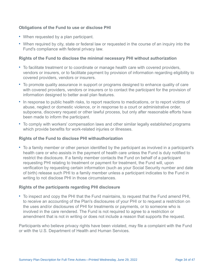#### **Obligations of the Fund to use or disclose PHI**

- When requested by a plan participant.
- When required by city, state or federal law or requested in the course of an inquiry into the Fund's compliance with federal privacy law.

#### **Rights of the Fund to disclose the minimal necessary PHI without authorization**

- To facilitate treatment or to coordinate or manage health care with covered providers, vendors or insurers, or to facilitate payment by provision of information regarding eligibility to covered providers, vendors or insurers.
- To promote quality assurance in support or programs designed to enhance quality of care with covered providers, vendors or insurers or to contact the participant for the provision of information designed to better avail plan features.
- In response to public health risks, to report reactions to medications, or to report victims of abuse, neglect or domestic violence, or in response to a court or administrative order, subpoena, discovery request or other lawful process, but only after reasonable efforts have been made to inform the participant.
- To comply with workers' compensation laws and other similar legally established programs which provide benefits for work-related injuries or illnesses.

#### **Rights of the Fund to disclose PHI withauthorization**

• To a family member or other person identified by the participant as involved in a participant's health care or who assists in the payment of health care unless the Fund is duly notified to restrict the disclosure. If a family member contacts the Fund on behalf of a participant requesting PHI relating to treatment or payment for treatment, the Fund will, upon verification by requesting certain information (such as your Social Security number and date of birth) release such PHI to a family member unless a participant indicates to the Fund in writing to not disclose PHI in those circumstances.

#### **Rights of the participants regarding PHI disclosure**

• To inspect and copy the PHI that the Fund maintains, to request that the Fund amend PHI, to receive an accounting of the Plan's disclosures of your PHI or to request a restriction on the uses and/or disclosures of PHI for treatments or payments, or to someone who is involved in the care rendered. The Fund is not required to agree to a restriction or amendment that is not in writing or does not include a reason that supports the request.

Participants who believe privacy rights have been violated, may file a complaint with the Fund or with the U.S. Department of Health and Human Services.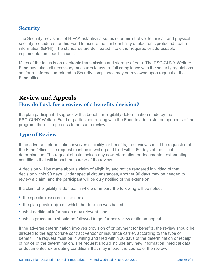### **Security**

The Security provisions of HIPAA establish a series of administrative, technical, and physical security procedures for this Fund to assure the confidentiality of electronic protected health information (EPHI). The standards are delineated into either required or addressable implementation specifications.

Much of the focus is on electronic transmission and storage of data. The PSC-CUNY Welfare Fund has taken all necessary measures to assure full compliance with the security regulations set forth. Information related to Security compliance may be reviewed upon request at the Fund office.

# **Review and Appeals How do I ask for a review of a benefits decision?**

If a plan participant disagrees with a benefit or eligibility determination made by the PSC-CUNY Welfare Fund or parties contracting with the Fund to administer components of the program, there is a process to pursue a review.

### **Type of Review**

If the adverse determination involves eligibility for benefits, the review should be requested of the Fund Office. The request must be in writing and filed within 60 days of the initial determination. The request should include any new information or documented extenuating conditions that will impact the course of the review.

A decision will be made about a claim of eligibility and notice rendered in writing of that decision within 90 days. Under special circumstances, another 90 days may be needed to review a claim, and the participant will be duly notified of the extension.

If a claim of eligibility is denied, in whole or in part, the following will be noted:

- the specific reasons for the denial
- the plan provision(s) on which the decision was based
- what additional information may relevant, and
- which procedures should be followed to get further review or file an appeal.

If the adverse determination involves provision of or payment for benefits, the review should be directed to the appropriate contract vendor or insurance carrier, according to the type of benefit. The request must be in writing and filed within 30 days of the determination or receipt of notice of the determination. The request should include any new information, medical data or documented extenuating conditions that may impact the course of the review.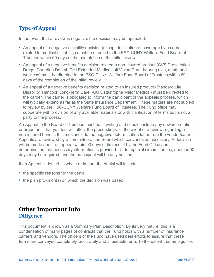### **Type of Appeal**

In the event that a review is negative, the decision may be appealed.

- An appeal of a negative eligibility decision (except declination of coverage by a carrier related to medical suitability) must be directed to the PSC-CUNY Welfare Fund Board of Trustees within 60 days of the completion of the initial review.
- An appeal of a negative benefits decision related a non-insured product (CVS Prescription Drugs, Guardian Dental, GHI Extended Medical, all Vision Care, hearing aids, death and wellness) must be directed to the PSC-CUNY Welfare Fund Board of Trustees within 60 days of the completion of the initial review.
- An appeal of a negative benefits decision related to an insured product (Standard Life Disability, Hancock Long-Term Care, AIG Catastrophe Major Medical) must be directed to the carrier. The carrier is obligated to inform the participant of the appeals process, which will typically extend as far as the State Insurance Department. These matters are not subject to review by the PSC-CUNY Welfare Fund Board of Trustees. The Fund office may cooperate with provision of any available materials or with clarification of terms but is not a party to the process.

An Appeal to the Board of Trustees must be in writing and should include any new information or arguments that you feel will affect the proceedings. In the event of a review regarding a non-insured benefit, this must include the negative determination letter from the vendor/carrier. Appeals are reviewed by a committee of the Board which convenes as necessary. A decision will be made about an appeal within 90 days of its receipt by the Fund Office and determination that necessary information is provided. Under special circumstances, another 90 days may be required, and the participant will be duly notified.

If an Appeal is denied, in whole or in part, the denial will include:

- the specific reasons for the denial;
- the plan provision(s) on which the decision was based.

# **Other Important Info Diligence**

This document is known as a Summary Plan Description. By its very nature, this is a condensation of many pages of contracts that the Fund holds with a number of insurance carriers and vendors. The officers of the Fund have used best efforts to assure that these terms are conveyed completely, accurately and in useable form. To the extent that ambiguities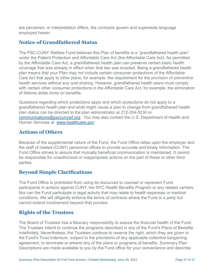are perceived, or interpretation differs, the contracts govern and supersede language employed herein.

### **Notice of Grandfathered Status**

The PSC-CUNY Welfare Fund believes this Plan of benefits is a "grandfathered health plan" under the Patient Protection and Affordable Care Act (the Affordable Care Act). As permitted by the Affordable Care Act, a grandfathered health plan can preserve certain basic health coverage that was already in effect when that law was enacted. Being a grandfathered health plan means that your Plan may not include certain consumer protections of the Affordable Care Act that apply to other plans, for example, the requirement for the provision of preventive health services without any cost sharing. However, grandfathered health plans must comply with certain other consumer protections in the Affordable Care Act, for example, the elimination of lifetime dollar limits on benefits.

Questions regarding which protections apply and which protections do not apply to a grandfathered health plan and what might cause a plan to change from grandfathered health plan status can be directed to the plan administrator at 212-354-5230 or [communications@psccunywf.org.](mailto:communications@psccunywf.org) You may also contact the U.S. Department of Health and Human Services at [www.healthcare.gov](http://www.healthcare.gov/)

### **Actions of Others**

Because of the supplemental nature of the Fund, the Fund Office relies upon the employer and the staff of related (CUNY) personnel offices to provide accurate and timely information. The Fund Office strives to assure that mutually beneficial communication is maintained. It cannot be responsible for unauthorized or inappropriate actions on the part of these or other third parties.

### **Beyond Simple Clarifications**

The Fund Office is prohibited from using its resources to counsel or represent Fund participants in actions against CUNY, the NYC Health Benefits Program or any related carriers. Nor can the Fund participate in legal activity that may relate to health expenses or medical conditions. We will diligently enforce the terms of contracts where the Fund is a party but cannot extend involvement beyond that purview.

### **Rights of the Trustees**

The Board of Trustees has a fiduciary responsibility to assure the financial health of the Fund. The Trustees intend to continue the programs described in any of the Fund's Plans of Benefits indefinitely. Nevertheless, the Trustees continue to reserve the right, which they are given in the Fund's Trust Indenture, subject to the provisions of any applicable collective bargaining agreement, to terminate or amend any of the plans or programs of benefits. Summary Plan Descriptions are made available to you by the Fund office for your convenience and describe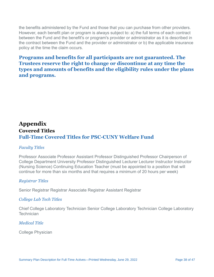the benefits administered by the Fund and those that you can purchase from other providers. However, each benefit plan or program is always subject to: a) the full terms of each contract between the Fund and the benefit's or program's provider or administrator as it is described in the contract between the Fund and the provider or administrator or b) the applicable insurance policy at the time the claim occurs.

### **Programs and benefits for all participants are not guaranteed. The Trustees reserve the right to change or discontinue at any time the types and amounts of benefits and the eligibility rules under the plans and programs.**

# **Appendix Covered Titles Full-Time Covered Titles for PSC-CUNY Welfare Fund**

#### *Faculty Titles*

Professor Associate Professor Assistant Professor Distinguished Professor Chairperson of College Department University Professor Distinguished Lecturer Lecturer Instructor Instructor (Nursing Science) Continuing Education Teacher (must be appointed to a position that will continue for more than six months and that requires a minimum of 20 hours per week)

#### *Registrar Titles*

Senior Registrar Registrar Associate Registrar Assistant Registrar

#### *College Lab Tech Titles*

Chief College Laboratory Technician Senior College Laboratory Technician College Laboratory **Technician** 

#### *Medical Title*

College Physician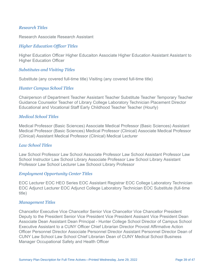#### *Research Titles*

Research Associate Research Assistant

#### *Higher Education Officer Titles*

Higher Education Officer Higher Educaiton Associate Higher Education Assistant Assistant to Higher Education Officer

#### *Substitutes and Visiting Titles*

Substitute (any covered full-time title) Visiting (any covered full-time title)

#### *Hunter Campus School Titles*

Chairperson of Department Teacher Assistant Teacher Substitute Teacher Temporary Teacher Guidance Counselor Teacher of Library College Laboratory Technician Placement Director Educational and Vocational Staff Early Childhood Teacher Teacher (Hourly)

#### *Medical School Titles*

Medical Professor (Basic Sciences) Associate Medical Professor (Basic Sciences) Assistant Medical Professor (Basic Sciences) Medical Professor (Clinical) Associate Medical Professor (Clinical) Assistant Medical Professor (Clinical) Medical Lecturer

#### *Law School Titles*

Law School Professor Law School Associate Professor Law School Assistant Professor Law School Instructor Law School Library Associate Professor Law School Library Assistant Professor Law School Lecturer Law Schoool Library Professor

#### *Employment Opportunity Center Titles*

EOC Lecturer EOC HEO Series EOC Assistant Registrar EOC College Laboratory Technician EOC Adjunct Lecturer EOC Adjunct College Laboratory Technician EOC Substitute (full-time title)

#### *Management Titles*

Chancellor Executive Vice Chancellor Senior Vice Chancellor Vice Chancellor President Deputy to the President Senior Vice President Vice President Assisant Vice President Dean Associate Dean Assistant Dean Principal - Hunter College School Director of Campus School Executive Assistant to a CUNY Officer Chief Librarian Director Provost Affirmative Action Officer Personnel Director Associate Personnel Director Assistant Personnel Director Dean of CUNY Law School Law School Chief Librarian Dean of CUNY Medical School Business Manager Occupational Safety and Health Officer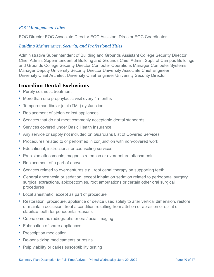#### *EOC Management Titles*

EOC Director EOC Associate Director EOC Assistant Director EOC Coordinator

#### *Building Maintenance, Security and Professional Titles*

Administrative Superintendent of Building and Grounds Assistant College Security Director Chief Admin, Superintendent of Building and Grounds Chief Admin. Supt. of Campus Buildings and Grounds College Security Director Computer Operations Manager Computer Systems Manager Deputy University Security Director University Associate Chief Engineer University Chief Architect University Chief Engineer University Security Director

#### **Guardian Dental Exclusions**

- Purely cosmetic treatment
- More than one prophylactic visit every 4 months
- Temporomandibular joint (TMJ) dysfunction
- Replacement of stolen or lost appliances
- Services that do not meet commonly acceptable dental standards
- Services covered under Basic Health Insurance
- Any service or supply not included on Guardians List of Covered Services
- Procedures related to or performed in conjunction with non-covered work
- Educational, instructional or counseling services
- Precision attachments, magnetic retention or overdenture attachments
- Replacement of a part of above
- Services related to overdentures e.g., root canal therapy on supporting teeth
- General anesthesia or sedation, except inhalation sedation related to periodontal surgery, surgical extractions, apicoectomies, root amputations or certain other oral surgical procedures
- Local anesthetic, except as part of procedure
- Restoration, procedure, appliance or device used solely to alter vertical dimension, restore or maintain occlusion, treat a condition resulting from attrition or abrasion or splint or stabilize teeth for periodontal reasons
- Cephalometric radiographs or oral/facial imaging
- Fabrication of spare appliances
- Prescription medication
- De-sensitizing medicaments or resins
- Pulp viability or caries susceptibility testing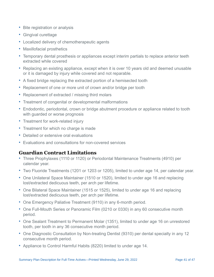- Bite registration or analysis
- Gingival curettage
- Localized delivery of chemotherapeutic agents
- Maxillofacial prosthetics
- Temporary dental prosthesis or appliances except interim partials to replace anterior teeth extracted while covered
- Replacing an existing appliance, except when it is over 10 years old and deemed unusable or it is damaged by injury while covered and not reparable.
- A fixed bridge replacing the extracted portion of a hemisected tooth
- Replacement of one or more unit of crown and/or bridge per tooth
- Replacement of extracted / missing third molars
- Treatment of congenital or developmental malformations
- Endodontic, periodontal, crown or bridge abutment procedure or appliance related to tooth with guarded or worse prognosis
- Treatment for work-related injury
- Treatment for which no charge is made
- Detailed or extensive oral evaluations
- Evaluations and consultations for non-covered services

### **Guardian Contract Limitations**

- Three Prophylaxes (1110 or 1120) or Periodontal Maintenance Treatments (4910) per calendar year.
- Two Fluoride Treatments (1201 or 1203 or 1205), limited to under age 14, per calendar year.
- One Unilateral Space Maintainer (1510 or 1520), limited to under age 16 and replacing lost/extracted dedicuous teeth, per arch per lifetime.
- One Bilateral Space Maintainer (1515 or 1525), limited to under age 16 and replacing lost/extracted dedicuous teeth, per arch per lifetime.
- One Emergency Paliative Treatment (9110) in any 6-month period.
- One Full-Mouth Series or Panoramic Film (0210 or 0330) in any 60 consecutive month period.
- One Sealant Treatment to Permanent Molar (1351), limited to under age 16 on unrestored tooth, per tooth in any 36 consecutive month period.
- One Diagnostic Consultation by Non-treating Dentist (9310) per dental specialty in any 12 consecutive month period.
- Appliance to Control Harmful Habits (8220) limited to under age 14.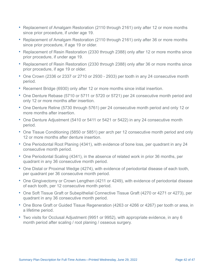- Replacement of Amalgam Restoration (2110 through 2161) only after 12 or more months since prior procedure, if under age 19.
- Replacement of Amalgam Restoration (2110 through 2161) only after 36 or more months since prior procedure, if age 19 or older.
- Replacement of Resin Restoration (2330 through 2388) only after 12 or more months since prior procedure, if under age 19.
- Replacement of Resin Restoration (2330 through 2388) only after 36 or more months since prior procedure, if age 19 or older.
- One Crown (2336 or 2337 or 2710 or 2930 2933) per tooth in any 24 consecutive month period.
- Recement Bridge (6930) only after 12 or more months since initial insertion.
- One Denture Rebase (5710 or 5711 or 5720 or 5721) per 24 consecutive month period and only 12 or more months after insertion.
- One Denture Reline (5730 through 5761) per 24 consecutive month period and only 12 or more months after insertion.
- One Denture Adjustment (5410 or 5411 or 5421 or 5422) in any 24 consecutive month period.
- One Tissue Conditioning (5850 or 5851) per arch per 12 consecutive month period and only 12 or more months after denture insertion.
- One Periodontal Root Planing (4341), with evidence of bone loss, per quadrant in any 24 consecutive month period.
- One Periodontal Scaling (4341), in the absence of related work in prior 36 months, per quadrant in any 36 consecutive month period.
- One Distal or Proximal Wedge (4274), with evidence of periodontal disease of each tooth, per quadrant per 36 consecutive month period.
- One Gingivectomy or Crown Lengthen (4211 or 4249), with evidence of periodontal disease of each tooth, per 12 consecutive month period.
- One Soft Tissue Graft or Subepithelial Connective Tissue Graft (4270 or 4271 or 4273), per quadrant in any 36 consecutive month period.
- One Bone Graft or Guided Tissue Regeneration (4263 or 4266 or 4267) per tooth or area, in a lifetime period.
- Two visits for Occlusal Adjustment (9951 or 9952), with appropriate evidence, in any 6 month period after scaling / root planing / osseous surgery.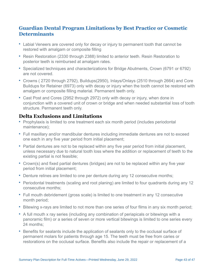### **Guardian Dental Program Limitations by Best Practice or Cosmetic Determinants**

- Labial Veneers are covered only for decay or injury to permanent tooth that cannot be restored with amalgam or composite filling
- Resin Restoration (2330 through 2388) limited to anterior teeth. Resin Restoration to posterior teeth is reimbursed at amalgam rates.
- Specialized techniques and characterizations for Bridge Abutments, Crown (6791 or 6792) are not covered.
- Crowns ( 2720 through 2792), Buildups(2950), Inlays/Onlays (2510 through 2664) and Core Buildups for Retainer (6973) only with decay or injury when the tooth cannot be restored with amalgam or composite filling material. Permanent teeth only.
- Cast Post and Cores (2952 through 2972) only with decay or injury, when done in conjunction with a covered unit of crown or bridge and when needed substantial loss of tooth structure. Permanent teeth only.

### **Delta Exclusions and Limitations**

- Prophylaxis is limited to one treatment each six month period (includes periodontal maintenance);
- Full maxillary and/or mandibular dentures including immediate dentures are not to exceed one each in any five year period from initial placement;
- Partial dentures are not to be replaced within any five year period from initial placement, unless necessary due to natural tooth loss where the addition or replacement of teeth to the existing partial is not feasible;
- Crown(s) and fixed partial dentures (bridges) are not to be replaced within any five year period from initial placement;
- Denture relines are limited to one per denture during any 12 consecutive months;
- Periodontal treatments (scaling and root planing) are limited to four quadrants during any 12 consecutive months;
- Full mouth debridement (gross scale) is limited to one treatment in any 12 consecutive month period;
- Bitewing x-rays are limited to not more than one series of four films in any six month period;
- A full mouth x ray series (including any combination of periapicals or bitewings with a panoramic film) or a series of seven or more vertical bitewings is limited to one series every 24 months;
- Benefits for sealants include the application of sealants only to the occlusal surface of permanent molars for patients through age 15. The teeth must be free from caries or restorations on the occlusal surface. Benefits also include the repair or replacement of a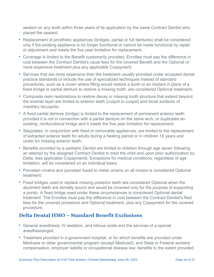sealant on any tooth within three years of its application by the same Contract Dentist who placed the sealant;

- Replacement of prosthetic appliances (bridges, partial or full dentures) shall be considered only if the existing appliance is no longer functional or cannot be made functional by repair or adjustment and meets the five year limitation for replacement;
- Coverage is limited to the Benefit customarily provided. Enrollee must pay the difference in cost between the Contract Dentist's usual fees for the covered Benefit and the Optional or more expensive treatment plus any applicable Copayment;
- Services that are more expensive than the treatment usually provided under accepted dental practice standards or include the use of specialized techniques instead of standard procedures, such as a crown where filling would restore a tooth or an implant in place of a fixed bridge or partial denture to restore a missing tooth, are considered Optional treatment;
- Composite resin restorations to restore decay or missing tooth structure that extend beyond the enamel layer are limited to anterior teeth (cuspid to cuspid) and facial surfaces of maxillary bicuspids;
- A fixed partial denture (bridge) is limited to the replacement of permanent anterior teeth provided it is not in connection with a partial denture on the same arch, or duplicates an existing, nonfunctional bridge and it meets the five year limitation for replacement;
- Stayplates, in conjunction with fixed or removable appliances, are limited to the replacement of extracted anterior teeth for adults during a healing period or in children 16 years and under for missing anterior teeth;
- Benefits provided by a pediatric Dentist are limited to children through age seven following an attempt by the assigned Contract Dentist to treat the child and upon prior authorization by Delta, less applicable Copayments. Exceptions for medical conditions, regardless of age limitation, will be considered on an individual basis;
- Porcelain crowns and porcelain fused to metal crowns on all molars is considered Optional treatment;
- Fixed bridges used to replace missing posterior teeth are considered Optional when the abutment teeth are dentally sound and would be crowned only for the purpose of supporting a pontic. A fixed bridge used under these circumstances is considered Optional dental treatment. The Enrollee must pay the difference in cost between the Contract Dentist's filed fees for the covered procedure and Optional treatment, plus any Copayment for the covered procedure;

### **Delta Dental HMO – Standard Benefit Exclusions**

- General anesthesia, IV sedation, and nitrous oxide and the services of a special anesthesiologist;
- Treatment provided in a government hospital, or for which benefits are provided under Medicare or other governmental program (except Medicaid), and State or Federal workers' compensation, employer liability or occupational disease law; benefits to the extent provided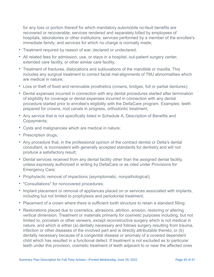for any loss or portion thereof for which mandatory automobile no-fault benefits are recovered or recoverable; services rendered and separately billed by employees of hospitals, laboratories or other institutions; services performed by a member of the enrollee's immediate family; and services for which no charge is normally made;

- Treatment required by reason of war, declared or undeclared;
- All related fees for admission, use, or stays in a hospital, out-patient surgery center, extended care facility, or other similar care facility;
- Treatment of fractures, dislocations and subluxations of the mandible or maxilla. This includes any surgical treatment to correct facial mal-alignments of TMJ abnormalities which are medical in nature;
- Loss or theft of fixed and removable prosthetics (crowns, bridges, full or partial dentures);
- Dental expenses incurred in connection with any dental procedures started after termination of eligibility for coverage or dental expenses incurred in connection with any dental procedure started prior to enrollee's eligibility with the DeltaCare program. Examples: teeth prepared for crowns, root canals in progress, orthodontic treatment;
- Any service that is not specifically listed in Schedule A, Description of Benefits and Copayments;
- Cysts and malignancies which are medical in nature;
- Prescription drugs;
- Any procedure that, in the professional opinion of the contract dentist or Delta's dental consultant, is inconsistent with generally accepted standards for dentistry and will not produce a satisfactory result;
- Dental services received from any dental facility other than the assigned dental facility, unless expressly authorized in writing by DeltaCare or as cited under Provisions for Emergency Care;
- Prophylactic removal of impactions (asymptomatic, nonpathological);
- "Consultations" for noncovered procedures;
- Implant placement or removal of appliances placed on or services associated with implants, including but not limited to prophylaxis and periodontal treatment;
- Placement of a crown where there is sufficient tooth structure to retain a standard filling;
- Restorations placed due to cosmetics, abrasions, attrition, erosion, restoring or altering vertical dimension. Treatment or materials primarily for cosmetic purposes including, but not limited to, porcelain or other veneers, except reconstructive surgery which is not medical in nature, and which is either (a) dentally necessary and follows surgery resulting from trauma, infection or other diseases of the involved part and is directly attributable thereto, or (b) dentally necessary because of a congenital disease or anomaly of a covered dependent child which has resulted in a functional defect. If treatment is not excluded as to particular teeth under this provision, cosmetic treatment of teeth adjacent to or near the affected ones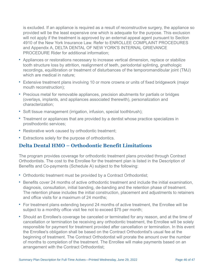is excluded. If an appliance is required as a result of reconstructive surgery, the appliance so provided will be the least expensive one which is adequate for the purpose. This exclusion will not apply if the treatment is approved by an external appeal agent pursuant to Section 4910 of the New York Insurance Law. Refer to ENROLLEE COMPLAINT PROCEDURES and Appendix A, DELTA DENTAL OF NEW YORK'S INTERNAL GRIEVANCE PROCEDURE Rider for additional information;

- Appliances or restorations necessary to increase vertical dimension, replace or stabilize tooth structure loss by attrition, realignment of teeth, periodontal splinting, gnathologic recordings, equilibration or treatment of disturbances of the temporomandibular joint (TMJ) which are medical in nature;
- Extensive treatment plans involving 10 or more crowns or units of fixed bridgework (major mouth reconstruction);
- Precious metal for removable appliances, precision abutments for partials or bridges (overlays, implants, and appliances associated therewith), personalization and characterization;
- Soft tissue management (irrigation, infusion, special toothbrush);
- Treatment or appliances that are provided by a dentist whose practice specializes in prosthodontic services;
- Restorative work caused by orthodontic treatment;
- Extractions solely for the purpose of orthodontics.

### **Delta Dental HMO – Orthodontic Benefit Limitations**

The program provides coverage for orthodontic treatment plans provided through Contract Orthodontists. The cost to the Enrollee for the treatment plan is listed in the Description of Benefits and Co-payments (Schedule A) subject to the following:

- Orthodontic treatment must be provided by a Contract Orthodontist;
- Benefits cover 24 months of active orthodontic treatment and include the initial examination, diagnosis, consultation, initial banding, de-banding and the retention phase of treatment. The retention phase includes the initial construction, placement and adjustments to retainers and office visits for a maximum of 24 months;
- For treatment plans extending beyond 24 months of active treatment, the Enrollee will be subject to a monthly office visit fee not to exceed \$75 per month;
- Should an Enrollee's coverage be canceled or terminated for any reason, and at the time of cancellation or termination be receiving any orthodontic treatment, the Enrollee will be solely responsible for payment for treatment provided after cancellation or termination. In this event the Enrollee's obligation shall be based on the Contract Orthodontist's usual fee at the beginning of treatment. The Contract Orthodontist will prorate the amount over the number of months to completion of the treatment. The Enrollee will make payments based on an arrangement with the Contract Orthodontist;